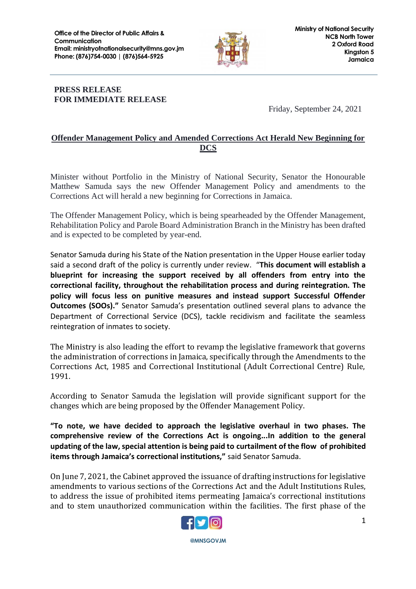

## **PRESS RELEASE FOR IMMEDIATE RELEASE**

Friday, September 24, 2021

## **Offender Management Policy and Amended Corrections Act Herald New Beginning for DCS**

Minister without Portfolio in the Ministry of National Security, Senator the Honourable Matthew Samuda says the new Offender Management Policy and amendments to the Corrections Act will herald a new beginning for Corrections in Jamaica.

The Offender Management Policy, which is being spearheaded by the Offender Management, Rehabilitation Policy and Parole Board Administration Branch in the Ministry has been drafted and is expected to be completed by year-end.

Senator Samuda during his State of the Nation presentation in the Upper House earlier today said a second draft of the policy is currently under review. "**This document will establish a blueprint for increasing the support received by all offenders from entry into the correctional facility, throughout the rehabilitation process and during reintegration. The policy will focus less on punitive measures and instead support Successful Offender Outcomes (SOOs)."** Senator Samuda's presentation outlined several plans to advance the Department of Correctional Service (DCS), tackle recidivism and facilitate the seamless reintegration of inmates to society.

The Ministry is also leading the effort to revamp the legislative framework that governs the administration of corrections in Jamaica, specifically through the Amendments to the Corrections Act, 1985 and Correctional Institutional (Adult Correctional Centre) Rule, 1991.

According to Senator Samuda the legislation will provide significant support for the changes which are being proposed by the Offender Management Policy.

**"To note, we have decided to approach the legislative overhaul in two phases. The comprehensive review of the Corrections Act is ongoing...In addition to the general updating of the law, special attention is being paid to curtailment of the flow of prohibited items through Jamaica's correctional institutions,"** said Senator Samuda.

On June 7, 2021, the Cabinet approved the issuance of drafting instructions for legislative amendments to various sections of the Corrections Act and the Adult Institutions Rules, to address the issue of prohibited items permeating Jamaica's correctional institutions and to stem unauthorized communication within the facilities. The first phase of the